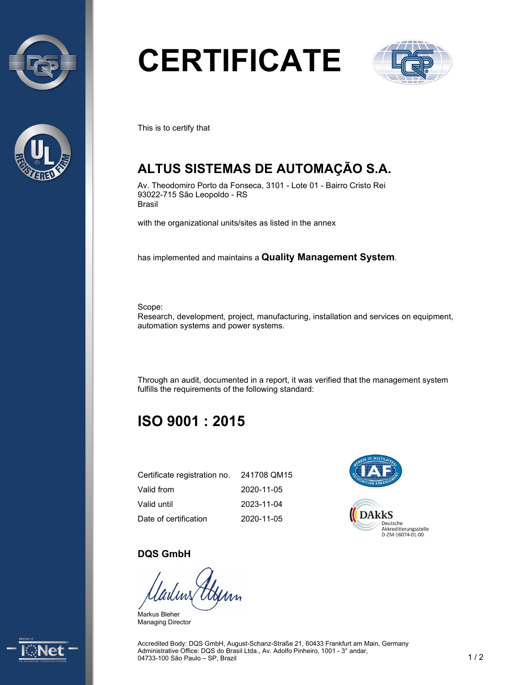



# **CERTIFICATE**



This is to certify that

## **ALTUS SISTEMAS DE AUTOMAÇÃO S.A.**

Av. Theodomiro Porto da Fonseca, 3101 - Lote 01 - Bairro Cristo Rei 93022-715 São Leopoldo - RS Brasil

with the organizational units/sites as listed in the annex

has implemented and maintains a **Quality Management System**.

Scope:

Research, development, project, manufacturing, installation and services on equipment, automation systems and power systems.

Through an audit, documented in a report, it was verified that the management system fulfills the requirements of the following standard:

### **ISO 9001 : 2015**

| Certificate registration no. | 241708 QM15 |
|------------------------------|-------------|
| Valid from                   | 2020-11-05  |
| Valid until                  | 2023-11-04  |
| Date of certification        | 2020-11-05  |



#### **DQS GmbH**

Markus Bleher Managing Director



Accredited Body: DQS GmbH, August-Schanz-Straße 21, 60433 Frankfurt am Main, Germany Administrative Office: DQS do Brasil Ltda., Av. Adolfo Pinheiro, 1001 - 3° andar, 04733-100 São Paulo – SP, Brazil 1 1 2 2 2 2 3 2 3 2 3 3 4 4 5 3 3 4 5 4 6 7 3 4 6 7 7 8 4 7 7 9 7 7 8 7 7 8 7